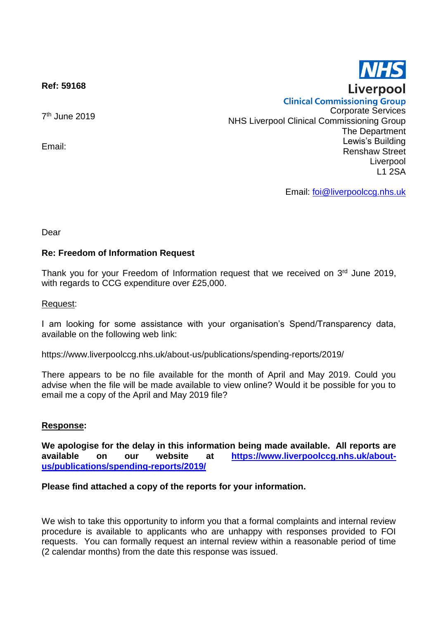**Ref: 59168**

7 th June 2019

Email:

**Clinical Commissioning Group** Corporate Services NHS Liverpool Clinical Commissioning Group The Department Lewis's Building Renshaw Street Liverpool L1 2SA

Email: [foi@liverpoolccg.nhs.uk](mailto:foi@liverpoolccg.nhs.uk)

Dear

## **Re: Freedom of Information Request**

Thank you for your Freedom of Information request that we received on 3<sup>rd</sup> June 2019, with regards to CCG expenditure over £25,000.

## Request:

I am looking for some assistance with your organisation's Spend/Transparency data, available on the following web link:

https://www.liverpoolccg.nhs.uk/about-us/publications/spending-reports/2019/

There appears to be no file available for the month of April and May 2019. Could you advise when the file will be made available to view online? Would it be possible for you to email me a copy of the April and May 2019 file?

## **Response:**

**We apologise for the delay in this information being made available. All reports are available on our website at [https://www.liverpoolccg.nhs.uk/about](https://www.liverpoolccg.nhs.uk/about-us/publications/spending-reports/2019/)[us/publications/spending-reports/2019/](https://www.liverpoolccg.nhs.uk/about-us/publications/spending-reports/2019/)**

## **Please find attached a copy of the reports for your information.**

We wish to take this opportunity to inform you that a formal complaints and internal review procedure is available to applicants who are unhappy with responses provided to FOI requests. You can formally request an internal review within a reasonable period of time (2 calendar months) from the date this response was issued.